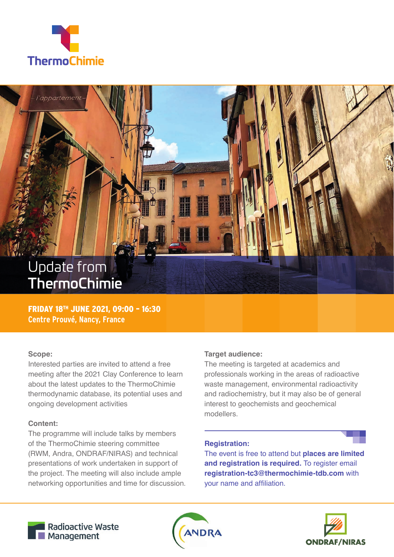



FRIDAY 18TH JUNE 2021, 09:00 – 16:30 **Centre Prouvé, Nancy, France**

#### **Scope:**

Interested parties are invited to attend a free meeting after the 2021 Clay Conference to learn about the latest updates to the ThermoChimie thermodynamic database, its potential uses and ongoing development activities

## **Content:**

The programme will include talks by members of the ThermoChimie steering committee (RWM, Andra, ONDRAF/NIRAS) and technical presentations of work undertaken in support of the project. The meeting will also include ample networking opportunities and time for discussion.

## **Target audience:**

The meeting is targeted at academics and professionals working in the areas of radioactive waste management, environmental radioactivity and radiochemistry, but it may also be of general interest to geochemists and geochemical modellers.

#### **Registration:**

The event is free to attend but **places are limited and registration is required.** To register email **registration-tc3@thermochimie-tdb.com** with your name and affiliation.